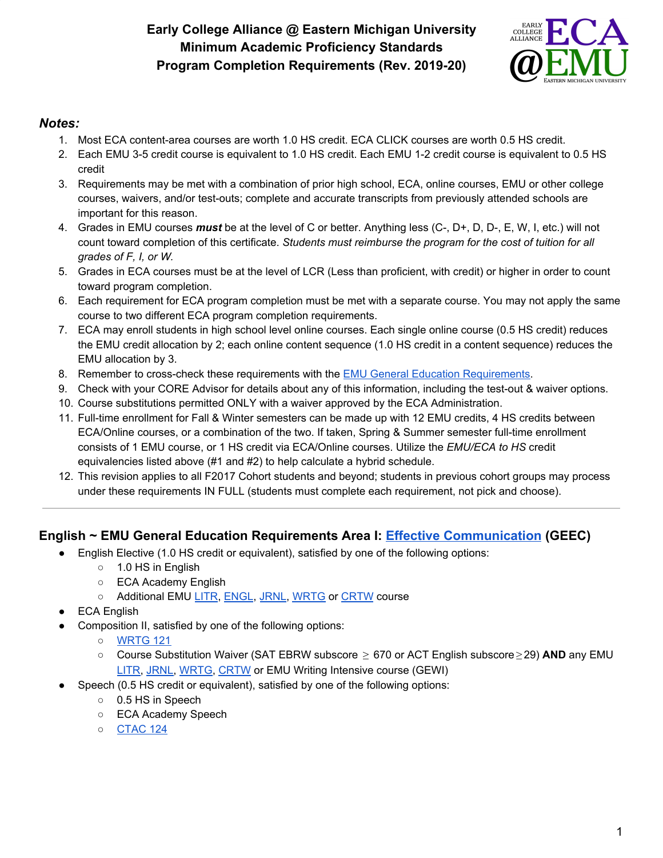# **Early College Alliance @ Eastern Michigan University Minimum Academic Proficiency Standards Program Completion Requirements (Rev. 2019-20)**



### *Notes:*

- 1. Most ECA content-area courses are worth 1.0 HS credit. ECA CLICK courses are worth 0.5 HS credit.
- 2. Each EMU 3-5 credit course is equivalent to 1.0 HS credit. Each EMU 1-2 credit course is equivalent to 0.5 HS credit
- 3. Requirements may be met with a combination of prior high school, ECA, online courses, EMU or other college courses, waivers, and/or test-outs; complete and accurate transcripts from previously attended schools are important for this reason.
- 4. Grades in EMU courses *must* be at the level of C or better. Anything less (C-, D+, D, D-, E, W, I, etc.) will not count toward completion of this certificate. *Students must reimburse the program for the cost of tuition for all grades of F, I, or W.*
- 5. Grades in ECA courses must be at the level of LCR (Less than proficient, with credit) or higher in order to count toward program completion.
- 6. Each requirement for ECA program completion must be met with a separate course. You may not apply the same course to two different ECA program completion requirements.
- 7. ECA may enroll students in high school level online courses. Each single online course (0.5 HS credit) reduces the EMU credit allocation by 2; each online content sequence (1.0 HS credit in a content sequence) reduces the EMU allocation by 3.
- 8. Remember to cross-check these requirements with the EMU General Education [Requirements.](http://catalog.emich.edu/content.php?catoid=23&navoid=4805)
- 9. Check with your CORE Advisor for details about any of this information, including the test-out & waiver options.
- 10. Course substitutions permitted ONLY with a waiver approved by the ECA Administration.
- 11. Full-time enrollment for Fall & Winter semesters can be made up with 12 EMU credits, 4 HS credits between ECA/Online courses, or a combination of the two. If taken, Spring & Summer semester full-time enrollment consists of 1 EMU course, or 1 HS credit via ECA/Online courses. Utilize the *EMU/ECA to HS* credit equivalencies listed above (#1 and #2) to help calculate a hybrid schedule.
- 12. This revision applies to all F2017 Cohort students and beyond; students in previous cohort groups may process under these requirements IN FULL (students must complete each requirement, not pick and choose).

## **English ~ EMU General Education Requirements Area I: [Effective Communication](http://catalog.emich.edu/preview_program.php?catoid=23&poid=11119) (GEEC)**

- English Elective (1.0 HS credit or equivalent), satisfied by one of the following options:
	- 1.0 HS in English
	- ECA Academy English
	- Additional EMU [LITR](http://catalog.emich.edu/search_advanced.php?cur_cat_oid=23&ecpage=1&cpage=1&ppage=1&pcpage=1&spage=1&tpage=1&search_database=Search&filter%5Bkeyword%5D=LITR&filter%5B3%5D=1&filter%5B31%5D=1), [ENGL](http://catalog.emich.edu/search_advanced.php?cur_cat_oid=23&ecpage=1&cpage=1&ppage=1&pcpage=1&spage=1&tpage=1&search_database=Search&filter%5Bkeyword%5D=ENGL&filter%5B3%5D=1&filter%5B31%5D=1), [JRNL,](http://catalog.emich.edu/search_advanced.php?cur_cat_oid=23&ecpage=1&cpage=1&ppage=1&pcpage=1&spage=1&tpage=1&search_database=Search&filter%5Bkeyword%5D=JRNL&filter%5B3%5D=1&filter%5B31%5D=1) [WRTG](http://catalog.emich.edu/search_advanced.php?cur_cat_oid=23&ecpage=1&cpage=1&ppage=1&pcpage=1&spage=1&tpage=1&search_database=Search&filter%5Bkeyword%5D=WRTG&filter%5B3%5D=1&filter%5B31%5D=1) or [CRTW](http://catalog.emich.edu/search_advanced.php?cur_cat_oid=23&ecpage=1&cpage=1&ppage=1&pcpage=1&spage=1&tpage=1&search_database=Search&filter%5Bkeyword%5D=CRTW&filter%5B3%5D=1&filter%5B31%5D=1) course
- **ECA English**
- Composition II, satisfied by one of the following options:
	- [WRTG](http://catalog.emich.edu/preview_course.php?catoid=23&coid=173668&print) 121
	- Course Substitution Waiver (SAT EBRW subscore ≥ 670 or ACT English subscore ≥ 29) **AND** any EMU [LITR,](http://catalog.emich.edu/search_advanced.php?cur_cat_oid=23&ecpage=1&cpage=1&ppage=1&pcpage=1&spage=1&tpage=1&search_database=Search&filter%5Bkeyword%5D=LITR&filter%5B3%5D=1&filter%5B31%5D=1) [JRNL](http://catalog.emich.edu/search_advanced.php?cur_cat_oid=23&ecpage=1&cpage=1&ppage=1&pcpage=1&spage=1&tpage=1&search_database=Search&filter%5Bkeyword%5D=JRNL&filter%5B3%5D=1&filter%5B31%5D=1), [WRTG](http://catalog.emich.edu/search_advanced.php?cur_cat_oid=23&ecpage=1&cpage=1&ppage=1&pcpage=1&spage=1&tpage=1&search_database=Search&filter%5Bkeyword%5D=WRTG&filter%5B3%5D=1&filter%5B31%5D=1), [CRTW](http://catalog.emich.edu/search_advanced.php?cur_cat_oid=23&ecpage=1&cpage=1&ppage=1&pcpage=1&spage=1&tpage=1&search_database=Search&filter%5Bkeyword%5D=CRTW&filter%5B3%5D=1&filter%5B31%5D=1) or EMU Writing Intensive course (GEWI)
- Speech (0.5 HS credit or equivalent), satisfied by one of the following options:
	- 0.5 HS in Speech
	- ECA Academy Speech
	- [CTAC](http://catalog.emich.edu/preview_course.php?catoid=23&coid=170115&print) 124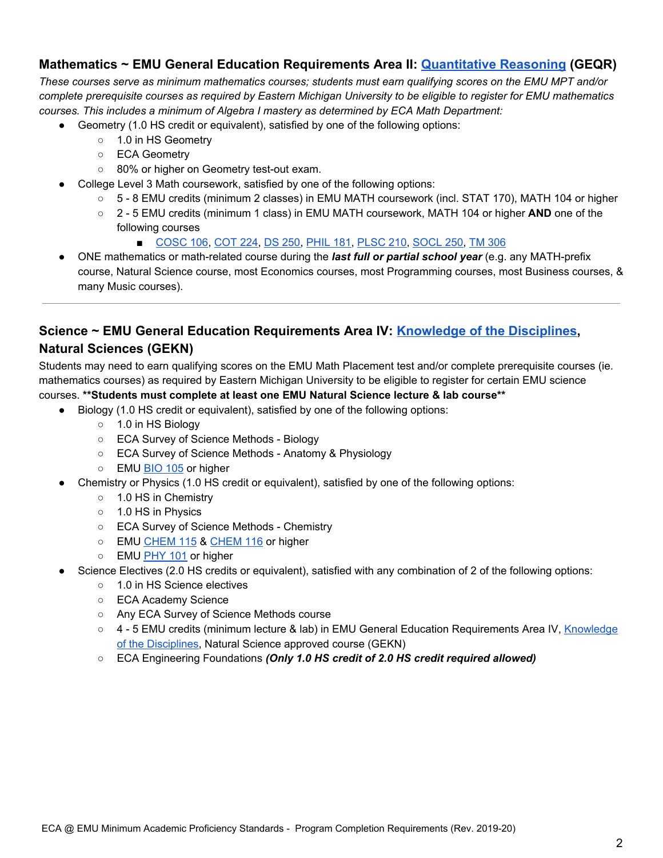## **Mathematics ~ EMU General Education Requirements Area II: [Quantitative Reasoning](http://catalog.emich.edu/preview_program.php?catoid=23&poid=11120) (GEQR)**

These courses serve as minimum mathematics courses; students must earn qualifying scores on the EMU MPT and/or complete prerequisite courses as required by Eastern Michigan University to be eligible to register for EMU mathematics *courses. This includes a minimum of Algebra I mastery as determined by ECA Math Department:*

- Geometry (1.0 HS credit or equivalent), satisfied by one of the following options:
	- 1.0 in HS Geometry
	- ECA Geometry
	- 80% or higher on Geometry test-out exam.
- College Level 3 Math coursework, satisfied by one of the following options:
	- 5 8 EMU credits (minimum 2 classes) in EMU MATH coursework (incl. STAT 170), MATH 104 or higher
	- 2 5 EMU credits (minimum 1 class) in EMU MATH coursework, MATH 104 or higher **AND** one of the following courses
		- [COSC](http://catalog.emich.edu/preview_course.php?catoid=23&coid=169955&print) 106, [COT](http://catalog.emich.edu/preview_course.php?catoid=23&coid=172928&print) 224, DS [250,](http://catalog.emich.edu/preview_course.php?catoid=23&coid=173709&print) [PHIL](http://catalog.emich.edu/preview_course.php?catoid=23&coid=172178&print) 181, [PLSC](http://catalog.emich.edu/preview_course.php?catoid=23&coid=172282&print) 210, [SOCL](http://catalog.emich.edu/preview_course.php?catoid=23&coid=172600&print) 250, TM [306](http://catalog.emich.edu/preview_course.php?catoid=23&coid=173353&print)
- ONE mathematics or math-related course during the *last full or partial school year* (e.g. any MATH-prefix course, Natural Science course, most Economics courses, most Programming courses, most Business courses, & many Music courses).

## **Science ~ EMU General Education Requirements Area IV: [Knowledge of the Disciplines](http://catalog.emich.edu/preview_program.php?catoid=23&poid=11122), Natural Sciences (GEKN)**

Students may need to earn qualifying scores on the EMU Math Placement test and/or complete prerequisite courses (ie. mathematics courses) as required by Eastern Michigan University to be eligible to register for certain EMU science courses. **\*\*Students must complete at least one EMU Natural Science lecture & lab course\*\***

- Biology (1.0 HS credit or equivalent), satisfied by one of the following options:
	- 1.0 in HS Biology
	- ECA Survey of Science Methods Biology
	- ECA Survey of Science Methods Anatomy & Physiology
	- EMU [BIO](http://catalog.emich.edu/preview_course.php?catoid=23&coid=169516&print) 105 or higher
- Chemistry or Physics (1.0 HS credit or equivalent), satisfied by one of the following options:
	- 1.0 HS in Chemistry
	- 1.0 HS in Physics
	- ECA Survey of Science Methods Chemistry
	- EMU [CHEM](http://catalog.emich.edu/preview_course.php?catoid=23&coid=169702&print) 115 & CHEM 116 or higher
	- EMU [PHY](http://catalog.emich.edu/preview_course.php?catoid=23&coid=172218&print) 101 or higher
- Science Electives (2.0 HS credits or equivalent), satisfied with any combination of 2 of the following options:
	- 1.0 in HS Science electives
	- ECA Academy Science
	- Any ECA Survey of Science Methods course
	- 4 5 EMU credits (minimum lecture & lab) in EMU General Education Requirements Area IV, [Knowledge](http://catalog.emich.edu/preview_program.php?catoid=23&poid=11122) of the [Disciplines,](http://catalog.emich.edu/preview_program.php?catoid=23&poid=11122) Natural Science approved course (GEKN)
	- ECA Engineering Foundations *(Only 1.0 HS credit of 2.0 HS credit required allowed)*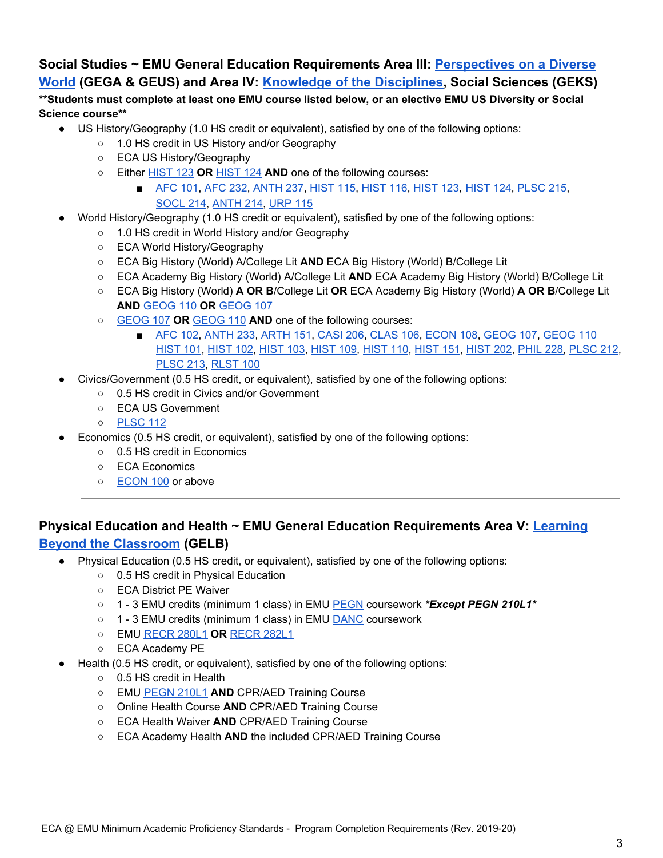### **Social Studies ~ EMU General Education Requirements Area III: [Perspectives on a Diverse](http://catalog.emich.edu/preview_program.php?catoid=23&poid=11121) [World](http://catalog.emich.edu/preview_program.php?catoid=23&poid=11121) (GEGA & GEUS) and Area IV: [Knowledge of the Disciplines,](http://catalog.emich.edu/preview_program.php?catoid=23&poid=11122) Social Sciences (GEKS)**

### \*\* Students must complete at least one EMU course listed below, or an elective EMU US Diversity or Social **Science course\*\***

- US History/Geography (1.0 HS credit or equivalent), satisfied by one of the following options:
	- 1.0 HS credit in US History and/or Geography
	- ECA US History/Geography
	- Either [HIST](http://catalog.emich.edu/preview_course.php?catoid=23&coid=171022&print) 123 **OR** [HIST](http://catalog.emich.edu/preview_course.php?catoid=23&coid=171023&print) 124 **AND** one of the following courses:
		- [AFC](http://catalog.emich.edu/preview_course.php?catoid=23&coid=169120&print) 101, [AFC](http://catalog.emich.edu/preview_course.php?catoid=23&coid=169128&print) 232, [ANTH](http://catalog.emich.edu/preview_course.php?catoid=23&coid=169229&print) 237, [HIST](http://catalog.emich.edu/preview_course.php?catoid=23&coid=171020&print) 115, [HIST](http://catalog.emich.edu/preview_course.php?catoid=23&coid=171021&print) 116, [HIST](http://catalog.emich.edu/preview_course.php?catoid=23&coid=171022&print) 123, [HIST](http://catalog.emich.edu/preview_course.php?catoid=23&coid=171023&print) 124, [PLSC](http://catalog.emich.edu/preview_course.php?catoid=23&coid=172286&print) 215, [SOCL](http://catalog.emich.edu/preview_course.php?catoid=23&coid=172597&print) 214, [ANTH](http://catalog.emich.edu/preview_course.php?catoid=23&coid=169226&print) 214, [URP](http://catalog.emich.edu/preview_course.php?catoid=23&coid=170963&print) 115
- World History/Geography (1.0 HS credit or equivalent), satisfied by one of the following options:
	- 1.0 HS credit in World History and/or Geography
	- ECA World History/Geography
	- ECA Big History (World) A/College Lit **AND** ECA Big History (World) B/College Lit
	- ECA Academy Big History (World) A/College Lit **AND** ECA Academy Big History (World) B/College Lit
	- ECA Big History (World) **A OR B**/College Lit **OR** ECA Academy Big History (World) **A OR B**/College Lit **AND** [GEOG](http://catalog.emich.edu/preview_course.php?catoid=23&coid=170822&print) 110 **OR** [GEOG](http://catalog.emich.edu/preview_course.php?catoid=23&coid=170821&print) 107
	- [GEOG](http://catalog.emich.edu/preview_course.php?catoid=23&coid=170821&print) 107 **OR** [GEOG](http://catalog.emich.edu/preview_course.php?catoid=23&coid=170822&print) 110 **AND** one of the following courses:
		- [AFC](http://catalog.emich.edu/preview_course.php?catoid=23&coid=169121&print) 102, [ANTH](http://catalog.emich.edu/preview_course.php?catoid=23&coid=169227&print) 233, [ARTH](http://catalog.emich.edu/preview_course.php?catoid=23&coid=169272&print) 151, [CASI](http://catalog.emich.edu/preview_course.php?catoid=23&coid=169665&print) 206, [CLAS](http://catalog.emich.edu/preview_course.php?catoid=23&coid=169793&print) 106, [ECON](http://catalog.emich.edu/preview_course.php?catoid=23&coid=170444&print) 108, [GEOG](http://catalog.emich.edu/preview_course.php?catoid=23&coid=170822&print) 107, GEOG 110 [HIST](http://catalog.emich.edu/preview_course.php?catoid=23&coid=171013&print) 101, [HIST](http://catalog.emich.edu/preview_course.php?catoid=23&coid=171014&print) 102, [HIST](http://catalog.emich.edu/preview_course.php?catoid=23&coid=171015&print) 103, [HIST](http://catalog.emich.edu/preview_course.php?catoid=23&coid=171018&print) 109, [HIST](http://catalog.emich.edu/preview_course.php?catoid=23&coid=171019&print) 110, [HIST](http://catalog.emich.edu/preview_course.php?catoid=23&coid=171024&print) 151, [HIST](http://catalog.emich.edu/preview_course.php?catoid=23&coid=171034&print) 202, [PHIL](http://catalog.emich.edu/preview_course.php?catoid=23&coid=172186&print) 228, [PLSC](http://catalog.emich.edu/preview_course.php?catoid=23&coid=172284&print) 212, [PLSC](http://catalog.emich.edu/preview_course.php?catoid=23&coid=172285&print) 213, [RLST](http://catalog.emich.edu/preview_course.php?catoid=23&coid=181693&print) 100
- Civics/Government (0.5 HS credit, or equivalent), satisfied by one of the following options:
	- 0.5 HS credit in Civics and/or Government
	- ECA US Government
	- [PLSC](http://catalog.emich.edu/preview_course.php?catoid=23&coid=172275&print) 112
- Economics (0.5 HS credit, or equivalent), satisfied by one of the following options:
	- 0.5 HS credit in Economics
	- ECA Economics
	- o [ECON](http://catalog.emich.edu/preview_course.php?catoid=23&coid=170442&print) 100 or above

### **Physical Education and Health ~ EMU General Education Requirements Area V: [Learning](http://catalog.emich.edu/preview_program.php?catoid=23&poid=11123) [Beyond the Classroom](http://catalog.emich.edu/preview_program.php?catoid=23&poid=11123) (GELB)**

- Physical Education (0.5 HS credit, or equivalent), satisfied by one of the following options:
	- 0.5 HS credit in Physical Education
	- ECA District PE Waiver
	- 1 3 EMU credits (minimum 1 class) in EMU [PEGN](http://catalog.emich.edu/search_advanced.php?cur_cat_oid=23&ecpage=1&cpage=1&ppage=1&pcpage=1&spage=1&tpage=1&search_database=Search&filter%5Bkeyword%5D=PEGN&filter%5B3%5D=1&filter%5B31%5D=1) coursework *\*Except PEGN 210L1\**
	- 1 3 EMU credits (minimum 1 class) in EMU **[DANC](http://catalog.emich.edu/search_advanced.php?cur_cat_oid=23&ecpage=1&cpage=1&ppage=1&pcpage=1&spage=1&tpage=1&search_database=Search&filter%5Bkeyword%5D=DANC&filter%5B3%5D=1&filter%5B31%5D=1)** coursework
	- EMU [RECR](http://catalog.emich.edu/preview_course.php?catoid=23&coid=172499&print) 280L1 **OR** [RECR](http://catalog.emich.edu/preview_course.php?catoid=23&coid=173196&print) 282L1
	- ECA Academy PE
- Health (0.5 HS credit, or equivalent), satisfied by one of the following options:
	- 0.5 HS credit in Health
	- EMU [PEGN](http://catalog.emich.edu/preview_course.php?catoid=23&coid=172079&print) 210L1 **AND** CPR/AED Training Course
	- Online Health Course **AND** CPR/AED Training Course
	- ECA Health Waiver **AND** CPR/AED Training Course
	- ECA Academy Health **AND** the included CPR/AED Training Course